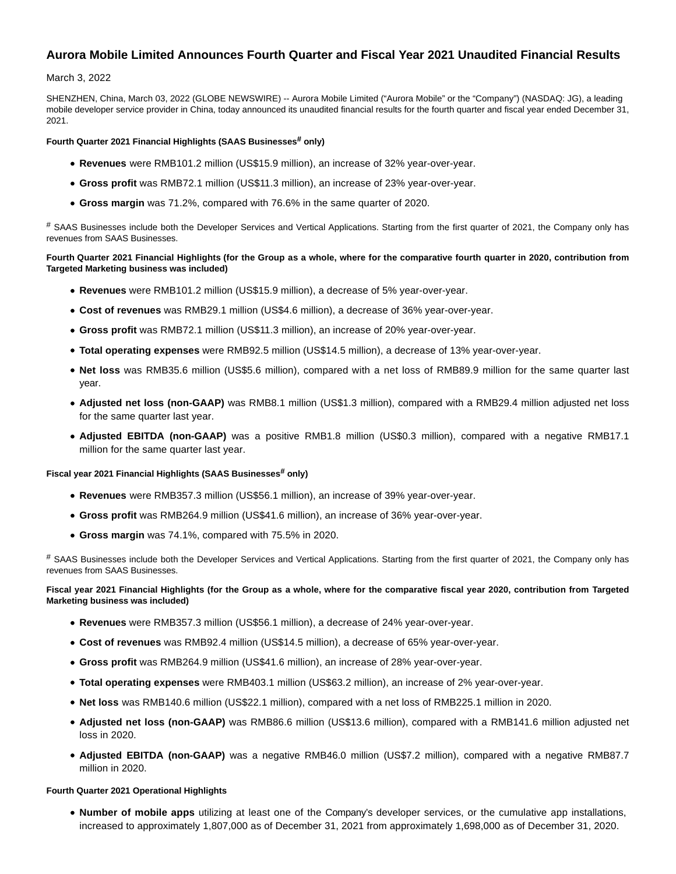# **Aurora Mobile Limited Announces Fourth Quarter and Fiscal Year 2021 Unaudited Financial Results**

### March 3, 2022

SHENZHEN, China, March 03, 2022 (GLOBE NEWSWIRE) -- Aurora Mobile Limited ("Aurora Mobile" or the "Company") (NASDAQ: JG), a leading mobile developer service provider in China, today announced its unaudited financial results for the fourth quarter and fiscal year ended December 31, 2021.

### **Fourth Quarter 2021 Financial Highlights (SAAS Businesses# only)**

- **Revenues** were RMB101.2 million (US\$15.9 million), an increase of 32% year-over-year.
- **Gross profit** was RMB72.1 million (US\$11.3 million), an increase of 23% year-over-year.
- **Gross margin** was 71.2%, compared with 76.6% in the same quarter of 2020.

# SAAS Businesses include both the Developer Services and Vertical Applications. Starting from the first quarter of 2021, the Company only has revenues from SAAS Businesses.

### **Fourth Quarter 2021 Financial Highlights (for the Group as a whole, where for the comparative fourth quarter in 2020, contribution from Targeted Marketing business was included)**

- **Revenues** were RMB101.2 million (US\$15.9 million), a decrease of 5% year-over-year.
- **Cost of revenues** was RMB29.1 million (US\$4.6 million), a decrease of 36% year-over-year.
- **Gross profit** was RMB72.1 million (US\$11.3 million), an increase of 20% year-over-year.
- **Total operating expenses** were RMB92.5 million (US\$14.5 million), a decrease of 13% year-over-year.
- **Net loss** was RMB35.6 million (US\$5.6 million), compared with a net loss of RMB89.9 million for the same quarter last year.
- **Adjusted net loss (non-GAAP)** was RMB8.1 million (US\$1.3 million), compared with a RMB29.4 million adjusted net loss for the same quarter last year.
- **Adjusted EBITDA (non-GAAP)** was a positive RMB1.8 million (US\$0.3 million), compared with a negative RMB17.1 million for the same quarter last year.

### **Fiscal year 2021 Financial Highlights (SAAS Businesses# only)**

- **Revenues** were RMB357.3 million (US\$56.1 million), an increase of 39% year-over-year.
- **Gross profit** was RMB264.9 million (US\$41.6 million), an increase of 36% year-over-year.
- **Gross margin** was 74.1%, compared with 75.5% in 2020.

# SAAS Businesses include both the Developer Services and Vertical Applications. Starting from the first quarter of 2021, the Company only has revenues from SAAS Businesses.

### **Fiscal year 2021 Financial Highlights (for the Group as a whole, where for the comparative fiscal year 2020, contribution from Targeted Marketing business was included)**

- **Revenues** were RMB357.3 million (US\$56.1 million), a decrease of 24% year-over-year.
- **Cost of revenues** was RMB92.4 million (US\$14.5 million), a decrease of 65% year-over-year.
- **Gross profit** was RMB264.9 million (US\$41.6 million), an increase of 28% year-over-year.
- **Total operating expenses** were RMB403.1 million (US\$63.2 million), an increase of 2% year-over-year.
- **Net loss** was RMB140.6 million (US\$22.1 million), compared with a net loss of RMB225.1 million in 2020.
- **Adjusted net loss (non-GAAP)** was RMB86.6 million (US\$13.6 million), compared with a RMB141.6 million adjusted net loss in 2020.
- **Adjusted EBITDA (non-GAAP)** was a negative RMB46.0 million (US\$7.2 million), compared with a negative RMB87.7 million in 2020.

#### **Fourth Quarter 2021 Operational Highlights**

**Number of mobile apps** utilizing at least one of the Company's developer services, or the cumulative app installations, increased to approximately 1,807,000 as of December 31, 2021 from approximately 1,698,000 as of December 31, 2020.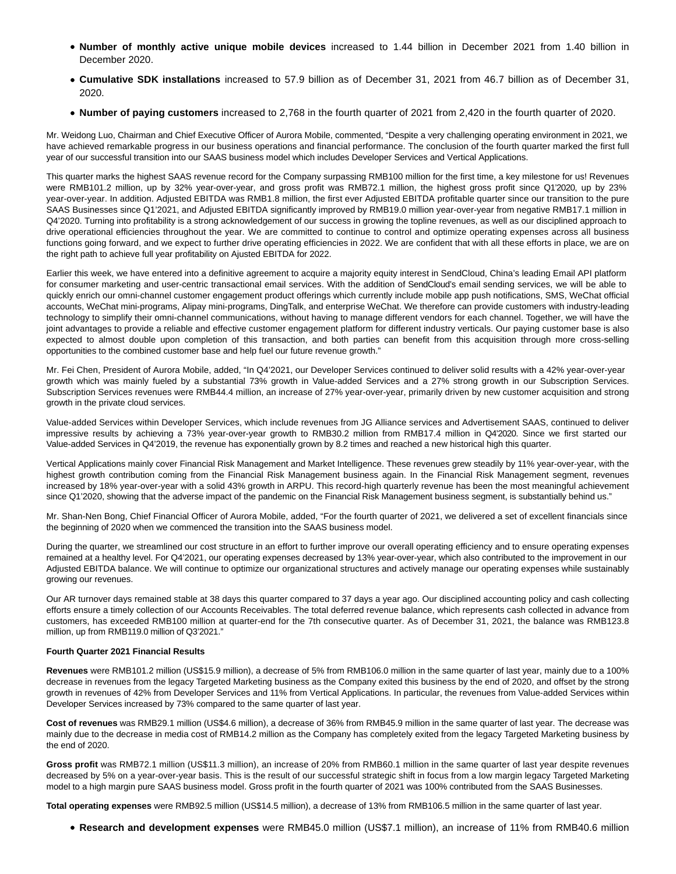- **Number of monthly active unique mobile devices** increased to 1.44 billion in December 2021 from 1.40 billion in December 2020.
- **Cumulative SDK installations** increased to 57.9 billion as of December 31, 2021 from 46.7 billion as of December 31, 2020.
- **Number of paying customers** increased to 2,768 in the fourth quarter of 2021 from 2,420 in the fourth quarter of 2020.

Mr. Weidong Luo, Chairman and Chief Executive Officer of Aurora Mobile, commented, "Despite a very challenging operating environment in 2021, we have achieved remarkable progress in our business operations and financial performance. The conclusion of the fourth quarter marked the first full year of our successful transition into our SAAS business model which includes Developer Services and Vertical Applications.

This quarter marks the highest SAAS revenue record for the Company surpassing RMB100 million for the first time, a key milestone for us! Revenues were RMB101.2 million, up by 32% year-over-year, and gross profit was RMB72.1 million, the highest gross profit since Q1'2020, up by 23% year-over-year. In addition. Adjusted EBITDA was RMB1.8 million, the first ever Adjusted EBITDA profitable quarter since our transition to the pure SAAS Businesses since Q1'2021, and Adjusted EBITDA significantly improved by RMB19.0 million year-over-year from negative RMB17.1 million in Q4'2020. Turning into profitability is a strong acknowledgement of our success in growing the topline revenues, as well as our disciplined approach to drive operational efficiencies throughout the year. We are committed to continue to control and optimize operating expenses across all business functions going forward, and we expect to further drive operating efficiencies in 2022. We are confident that with all these efforts in place, we are on the right path to achieve full year profitability on Ajusted EBITDA for 2022.

Earlier this week, we have entered into a definitive agreement to acquire a majority equity interest in SendCloud, China's leading Email API platform for consumer marketing and user-centric transactional email services. With the addition of SendCloud's email sending services, we will be able to quickly enrich our omni-channel customer engagement product offerings which currently include mobile app push notifications, SMS, WeChat official accounts, WeChat mini-programs, Alipay mini-programs, DingTalk, and enterprise WeChat. We therefore can provide customers with industry-leading technology to simplify their omni-channel communications, without having to manage different vendors for each channel. Together, we will have the joint advantages to provide a reliable and effective customer engagement platform for different industry verticals. Our paying customer base is also expected to almost double upon completion of this transaction, and both parties can benefit from this acquisition through more cross-selling opportunities to the combined customer base and help fuel our future revenue growth."

Mr. Fei Chen, President of Aurora Mobile, added, "In Q4'2021, our Developer Services continued to deliver solid results with a 42% year-over-year growth which was mainly fueled by a substantial 73% growth in Value-added Services and a 27% strong growth in our Subscription Services. Subscription Services revenues were RMB44.4 million, an increase of 27% year-over-year, primarily driven by new customer acquisition and strong growth in the private cloud services.

Value-added Services within Developer Services, which include revenues from JG Alliance services and Advertisement SAAS, continued to deliver impressive results by achieving a 73% year-over-year growth to RMB30.2 million from RMB17.4 million in Q4'2020. Since we first started our Value-added Services in Q4'2019, the revenue has exponentially grown by 8.2 times and reached a new historical high this quarter.

Vertical Applications mainly cover Financial Risk Management and Market Intelligence. These revenues grew steadily by 11% year-over-year, with the highest growth contribution coming from the Financial Risk Management business again. In the Financial Risk Management segment, revenues increased by 18% year-over-year with a solid 43% growth in ARPU. This record-high quarterly revenue has been the most meaningful achievement since Q1'2020, showing that the adverse impact of the pandemic on the Financial Risk Management business segment, is substantially behind us."

Mr. Shan-Nen Bong, Chief Financial Officer of Aurora Mobile, added, "For the fourth quarter of 2021, we delivered a set of excellent financials since the beginning of 2020 when we commenced the transition into the SAAS business model.

During the quarter, we streamlined our cost structure in an effort to further improve our overall operating efficiency and to ensure operating expenses remained at a healthy level. For Q4'2021, our operating expenses decreased by 13% year-over-year, which also contributed to the improvement in our Adjusted EBITDA balance. We will continue to optimize our organizational structures and actively manage our operating expenses while sustainably growing our revenues.

Our AR turnover days remained stable at 38 days this quarter compared to 37 days a year ago. Our disciplined accounting policy and cash collecting efforts ensure a timely collection of our Accounts Receivables. The total deferred revenue balance, which represents cash collected in advance from customers, has exceeded RMB100 million at quarter-end for the 7th consecutive quarter. As of December 31, 2021, the balance was RMB123.8 million, up from RMB119.0 million of Q3'2021."

#### **Fourth Quarter 2021 Financial Results**

**Revenues** were RMB101.2 million (US\$15.9 million), a decrease of 5% from RMB106.0 million in the same quarter of last year, mainly due to a 100% decrease in revenues from the legacy Targeted Marketing business as the Company exited this business by the end of 2020, and offset by the strong growth in revenues of 42% from Developer Services and 11% from Vertical Applications. In particular, the revenues from Value-added Services within Developer Services increased by 73% compared to the same quarter of last year.

**Cost of revenues** was RMB29.1 million (US\$4.6 million), a decrease of 36% from RMB45.9 million in the same quarter of last year. The decrease was mainly due to the decrease in media cost of RMB14.2 million as the Company has completely exited from the legacy Targeted Marketing business by the end of 2020.

**Gross profit** was RMB72.1 million (US\$11.3 million), an increase of 20% from RMB60.1 million in the same quarter of last year despite revenues decreased by 5% on a year-over-year basis. This is the result of our successful strategic shift in focus from a low margin legacy Targeted Marketing model to a high margin pure SAAS business model. Gross profit in the fourth quarter of 2021 was 100% contributed from the SAAS Businesses.

**Total operating expenses** were RMB92.5 million (US\$14.5 million), a decrease of 13% from RMB106.5 million in the same quarter of last year.

**Research and development expenses** were RMB45.0 million (US\$7.1 million), an increase of 11% from RMB40.6 million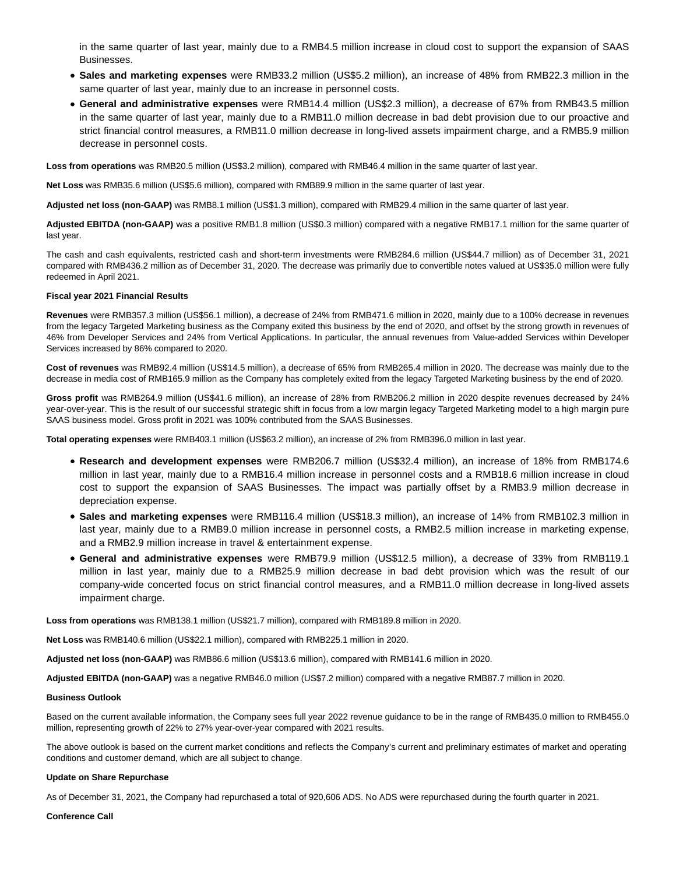in the same quarter of last year, mainly due to a RMB4.5 million increase in cloud cost to support the expansion of SAAS Businesses.

- **Sales and marketing expenses** were RMB33.2 million (US\$5.2 million), an increase of 48% from RMB22.3 million in the same quarter of last year, mainly due to an increase in personnel costs.
- **General and administrative expenses** were RMB14.4 million (US\$2.3 million), a decrease of 67% from RMB43.5 million in the same quarter of last year, mainly due to a RMB11.0 million decrease in bad debt provision due to our proactive and strict financial control measures, a RMB11.0 million decrease in long-lived assets impairment charge, and a RMB5.9 million decrease in personnel costs.

**Loss from operations** was RMB20.5 million (US\$3.2 million), compared with RMB46.4 million in the same quarter of last year.

**Net Loss** was RMB35.6 million (US\$5.6 million), compared with RMB89.9 million in the same quarter of last year.

**Adjusted net loss (non-GAAP)** was RMB8.1 million (US\$1.3 million), compared with RMB29.4 million in the same quarter of last year.

Adjusted EBITDA (non-GAAP) was a positive RMB1.8 million (US\$0.3 million) compared with a negative RMB17.1 million for the same quarter of last year.

The cash and cash equivalents, restricted cash and short-term investments were RMB284.6 million (US\$44.7 million) as of December 31, 2021 compared with RMB436.2 million as of December 31, 2020. The decrease was primarily due to convertible notes valued at US\$35.0 million were fully redeemed in April 2021.

#### **Fiscal year 2021 Financial Results**

**Revenues** were RMB357.3 million (US\$56.1 million), a decrease of 24% from RMB471.6 million in 2020, mainly due to a 100% decrease in revenues from the legacy Targeted Marketing business as the Company exited this business by the end of 2020, and offset by the strong growth in revenues of 46% from Developer Services and 24% from Vertical Applications. In particular, the annual revenues from Value-added Services within Developer Services increased by 86% compared to 2020.

**Cost of revenues** was RMB92.4 million (US\$14.5 million), a decrease of 65% from RMB265.4 million in 2020. The decrease was mainly due to the decrease in media cost of RMB165.9 million as the Company has completely exited from the legacy Targeted Marketing business by the end of 2020.

**Gross profit** was RMB264.9 million (US\$41.6 million), an increase of 28% from RMB206.2 million in 2020 despite revenues decreased by 24% year-over-year. This is the result of our successful strategic shift in focus from a low margin legacy Targeted Marketing model to a high margin pure SAAS business model. Gross profit in 2021 was 100% contributed from the SAAS Businesses.

**Total operating expenses** were RMB403.1 million (US\$63.2 million), an increase of 2% from RMB396.0 million in last year.

- **Research and development expenses** were RMB206.7 million (US\$32.4 million), an increase of 18% from RMB174.6 million in last year, mainly due to a RMB16.4 million increase in personnel costs and a RMB18.6 million increase in cloud cost to support the expansion of SAAS Businesses. The impact was partially offset by a RMB3.9 million decrease in depreciation expense.
- **Sales and marketing expenses** were RMB116.4 million (US\$18.3 million), an increase of 14% from RMB102.3 million in last year, mainly due to a RMB9.0 million increase in personnel costs, a RMB2.5 million increase in marketing expense, and a RMB2.9 million increase in travel & entertainment expense.
- **General and administrative expenses** were RMB79.9 million (US\$12.5 million), a decrease of 33% from RMB119.1 million in last year, mainly due to a RMB25.9 million decrease in bad debt provision which was the result of our company-wide concerted focus on strict financial control measures, and a RMB11.0 million decrease in long-lived assets impairment charge.

**Loss from operations** was RMB138.1 million (US\$21.7 million), compared with RMB189.8 million in 2020.

**Net Loss** was RMB140.6 million (US\$22.1 million), compared with RMB225.1 million in 2020.

**Adjusted net loss (non-GAAP)** was RMB86.6 million (US\$13.6 million), compared with RMB141.6 million in 2020.

**Adjusted EBITDA (non-GAAP)** was a negative RMB46.0 million (US\$7.2 million) compared with a negative RMB87.7 million in 2020.

#### **Business Outlook**

Based on the current available information, the Company sees full year 2022 revenue guidance to be in the range of RMB435.0 million to RMB455.0 million, representing growth of 22% to 27% year-over-year compared with 2021 results.

The above outlook is based on the current market conditions and reflects the Company's current and preliminary estimates of market and operating conditions and customer demand, which are all subject to change.

#### **Update on Share Repurchase**

As of December 31, 2021, the Company had repurchased a total of 920,606 ADS. No ADS were repurchased during the fourth quarter in 2021.

#### **Conference Call**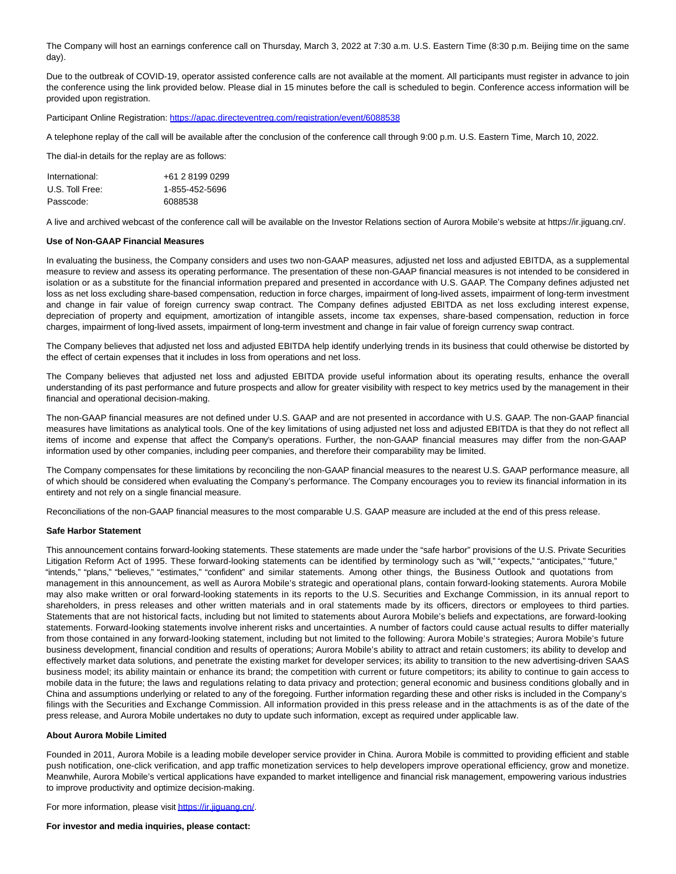The Company will host an earnings conference call on Thursday, March 3, 2022 at 7:30 a.m. U.S. Eastern Time (8:30 p.m. Beijing time on the same day).

Due to the outbreak of COVID-19, operator assisted conference calls are not available at the moment. All participants must register in advance to join the conference using the link provided below. Please dial in 15 minutes before the call is scheduled to begin. Conference access information will be provided upon registration.

Participant Online Registration: [https://apac.directeventreg.com/registration/event/6088538](https://www.globenewswire.com/Tracker?data=21UIjKGKRnAsGT1Qp5Zep3UQMx5m5gNZyThio-DpLPTujmXuUb-_O-T6Xdo5-ZSL13iDHo6S0q_mA4Ows81XUOZjdgDWZAiI5wIfCzHf8WtP6xpuwKH2a-q89GGYtCeywGNXNAKsHYM4HQ21uZ25tbgNeP4xTV1iJfuGcgL-i2FvbVabJY_3173bSwoLGb6K)

A telephone replay of the call will be available after the conclusion of the conference call through 9:00 p.m. U.S. Eastern Time, March 10, 2022.

The dial-in details for the replay are as follows:

| International:  | $+61281990299$ |
|-----------------|----------------|
| U.S. Toll Free: | 1-855-452-5696 |
| Passcode:       | 6088538        |

A live and archived webcast of the conference call will be available on the Investor Relations section of Aurora Mobile's website at https://ir.jiguang.cn/.

#### **Use of Non-GAAP Financial Measures**

In evaluating the business, the Company considers and uses two non-GAAP measures, adjusted net loss and adjusted EBITDA, as a supplemental measure to review and assess its operating performance. The presentation of these non-GAAP financial measures is not intended to be considered in isolation or as a substitute for the financial information prepared and presented in accordance with U.S. GAAP. The Company defines adjusted net loss as net loss excluding share-based compensation, reduction in force charges, impairment of long-lived assets, impairment of long-term investment and change in fair value of foreign currency swap contract. The Company defines adjusted EBITDA as net loss excluding interest expense, depreciation of property and equipment, amortization of intangible assets, income tax expenses, share-based compensation, reduction in force charges, impairment of long-lived assets, impairment of long-term investment and change in fair value of foreign currency swap contract.

The Company believes that adjusted net loss and adjusted EBITDA help identify underlying trends in its business that could otherwise be distorted by the effect of certain expenses that it includes in loss from operations and net loss.

The Company believes that adjusted net loss and adjusted EBITDA provide useful information about its operating results, enhance the overall understanding of its past performance and future prospects and allow for greater visibility with respect to key metrics used by the management in their financial and operational decision-making.

The non-GAAP financial measures are not defined under U.S. GAAP and are not presented in accordance with U.S. GAAP. The non-GAAP financial measures have limitations as analytical tools. One of the key limitations of using adjusted net loss and adjusted EBITDA is that they do not reflect all items of income and expense that affect the Company's operations. Further, the non-GAAP financial measures may differ from the non-GAAP information used by other companies, including peer companies, and therefore their comparability may be limited.

The Company compensates for these limitations by reconciling the non-GAAP financial measures to the nearest U.S. GAAP performance measure, all of which should be considered when evaluating the Company's performance. The Company encourages you to review its financial information in its entirety and not rely on a single financial measure.

Reconciliations of the non-GAAP financial measures to the most comparable U.S. GAAP measure are included at the end of this press release.

#### **Safe Harbor Statement**

This announcement contains forward-looking statements. These statements are made under the "safe harbor" provisions of the U.S. Private Securities Litigation Reform Act of 1995. These forward-looking statements can be identified by terminology such as "will," "expects," "anticipates," "future," "intends," "plans," "believes," "estimates," "confident" and similar statements. Among other things, the Business Outlook and quotations from management in this announcement, as well as Aurora Mobile's strategic and operational plans, contain forward-looking statements. Aurora Mobile may also make written or oral forward-looking statements in its reports to the U.S. Securities and Exchange Commission, in its annual report to shareholders, in press releases and other written materials and in oral statements made by its officers, directors or employees to third parties. Statements that are not historical facts, including but not limited to statements about Aurora Mobile's beliefs and expectations, are forward-looking statements. Forward-looking statements involve inherent risks and uncertainties. A number of factors could cause actual results to differ materially from those contained in any forward-looking statement, including but not limited to the following: Aurora Mobile's strategies; Aurora Mobile's future business development, financial condition and results of operations; Aurora Mobile's ability to attract and retain customers; its ability to develop and effectively market data solutions, and penetrate the existing market for developer services; its ability to transition to the new advertising-driven SAAS business model; its ability maintain or enhance its brand; the competition with current or future competitors; its ability to continue to gain access to mobile data in the future; the laws and regulations relating to data privacy and protection; general economic and business conditions globally and in China and assumptions underlying or related to any of the foregoing. Further information regarding these and other risks is included in the Company's filings with the Securities and Exchange Commission. All information provided in this press release and in the attachments is as of the date of the press release, and Aurora Mobile undertakes no duty to update such information, except as required under applicable law.

#### **About Aurora Mobile Limited**

Founded in 2011, Aurora Mobile is a leading mobile developer service provider in China. Aurora Mobile is committed to providing efficient and stable push notification, one-click verification, and app traffic monetization services to help developers improve operational efficiency, grow and monetize. Meanwhile, Aurora Mobile's vertical applications have expanded to market intelligence and financial risk management, empowering various industries to improve productivity and optimize decision-making.

For more information, please visi[t https://ir.jiguang.cn/.](https://www.globenewswire.com/Tracker?data=21UIjKGKRnAsGT1Qp5Zepx57eYhzu3fi27jfQgjci9gHTDSc25e_zb9pPbCkZWA1sdI_ZMAYLNKNTyEF0__ZJHXTFM344AT8FvIpKPISCYo=)

#### **For investor and media inquiries, please contact:**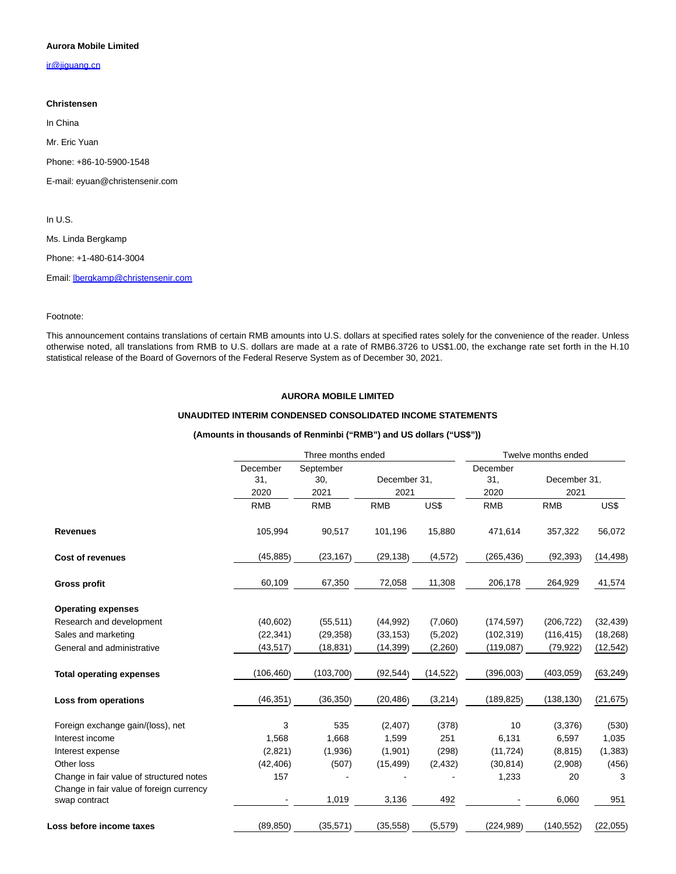## **Aurora Mobile Limited**

#### [ir@jiguang.cn](https://www.globenewswire.com/Tracker?data=b6Kz7ZZ_rggJNl9uATbTHiLheUoZSyaUXo0BnIiFpE-RCR4-fmRx3R1myW5txSMS7x2VzFVANK3LLT3HOz0HoA==)

### **Christensen**

In China

Mr. Eric Yuan

Phone: +86-10-5900-1548

E-mail: eyuan@christensenir.com

In U.S.

Ms. Linda Bergkamp

Phone: +1-480-614-3004

Email[: lbergkamp@christensenir.com](https://www.globenewswire.com/Tracker?data=NzZToeSuQdLb1tm-8gIo7n_XyaZj0q3JKRW9B4CddHJc96ZZbyq8myPuhYUYH0O0vRH7lMAO1eByGd7Iwo0ocJMPIAylRWmJ7IsGM4iMcRdwayEU93g6gguH4OPuIuJK)

## Footnote:

This announcement contains translations of certain RMB amounts into U.S. dollars at specified rates solely for the convenience of the reader. Unless otherwise noted, all translations from RMB to U.S. dollars are made at a rate of RMB6.3726 to US\$1.00, the exchange rate set forth in the H.10 statistical release of the Board of Governors of the Federal Reserve System as of December 30, 2021.

## **AURORA MOBILE LIMITED**

### **UNAUDITED INTERIM CONDENSED CONSOLIDATED INCOME STATEMENTS**

|                                                           | Three months ended      |                          |                      |           | Twelve months ended     |            |              |
|-----------------------------------------------------------|-------------------------|--------------------------|----------------------|-----------|-------------------------|------------|--------------|
|                                                           | December<br>31,<br>2020 | September<br>30,<br>2021 | December 31,<br>2021 |           | December<br>31,<br>2020 |            | December 31. |
|                                                           | <b>RMB</b>              | <b>RMB</b>               | <b>RMB</b>           | US\$      | <b>RMB</b>              | <b>RMB</b> | US\$         |
| <b>Revenues</b>                                           | 105,994                 | 90,517                   | 101,196              | 15,880    | 471,614                 | 357,322    | 56,072       |
| <b>Cost of revenues</b>                                   | (45, 885)               | (23, 167)                | (29, 138)            | (4, 572)  | (265, 436)              | (92, 393)  | (14, 498)    |
| <b>Gross profit</b>                                       | 60,109                  | 67,350                   | 72,058               | 11,308    | 206,178                 | 264,929    | 41,574       |
| <b>Operating expenses</b>                                 |                         |                          |                      |           |                         |            |              |
| Research and development                                  | (40,602)                | (55, 511)                | (44,992)             | (7,060)   | (174, 597)              | (206, 722) | (32, 439)    |
| Sales and marketing                                       | (22, 341)               | (29, 358)                | (33, 153)            | (5,202)   | (102, 319)              | (116, 415) | (18, 268)    |
| General and administrative                                | (43, 517)               | (18, 831)                | (14, 399)            | (2,260)   | (119,087)               | (79, 922)  | (12, 542)    |
| <b>Total operating expenses</b>                           | (106, 460)              | (103, 700)               | (92, 544)            | (14, 522) | (396,003)               | (403, 059) | (63, 249)    |
| Loss from operations                                      | (46, 351)               | (36, 350)                | (20, 486)            | (3,214)   | (189, 825)              | (138, 130) | (21, 675)    |
| Foreign exchange gain/(loss), net                         | 3                       | 535                      | (2,407)              | (378)     | 10                      | (3,376)    | (530)        |
| Interest income                                           | 1,568                   | 1,668                    | 1,599                | 251       | 6,131                   | 6,597      | 1,035        |
| Interest expense                                          | (2,821)                 | (1,936)                  | (1,901)              | (298)     | (11, 724)               | (8, 815)   | (1, 383)     |
| Other loss                                                | (42, 406)               | (507)                    | (15, 499)            | (2, 432)  | (30, 814)               | (2,908)    | (456)        |
| Change in fair value of structured notes                  | 157                     |                          |                      |           | 1,233                   | 20         | 3            |
| Change in fair value of foreign currency<br>swap contract |                         | 1,019                    | 3,136                | 492       |                         | 6,060      | 951          |
| Loss before income taxes                                  | (89, 850)               | (35, 571)                | (35, 558)            | (5, 579)  | (224, 989)              | (140, 552) | (22, 055)    |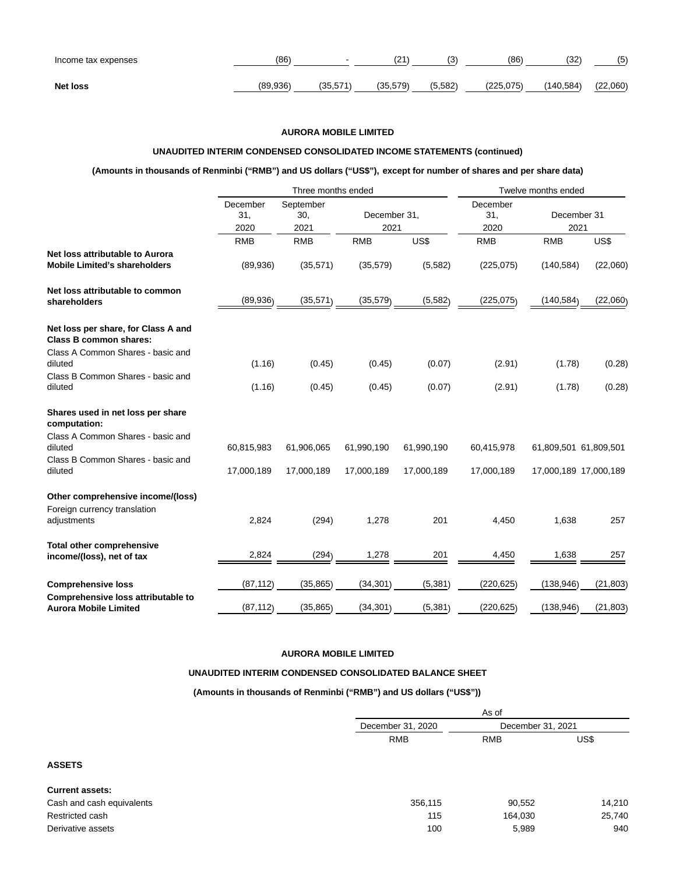| Income tax expenses | (86)     | $\sim$   | .        | (3      | (86                           | (32       | (5        |
|---------------------|----------|----------|----------|---------|-------------------------------|-----------|-----------|
| <b>Net loss</b>     | (89,936) | (35.571) | (35.579) | (5,582) | $.5.075$ <sup>1</sup><br>100E | (140.584) | \2,060.∠∠ |

## **AURORA MOBILE LIMITED**

# **UNAUDITED INTERIM CONDENSED CONSOLIDATED INCOME STATEMENTS (continued)**

# **(Amounts in thousands of Renminbi ("RMB") and US dollars ("US\$"), except for number of shares and per share data)**

|                                                                         |                         | Three months ended       |                      |            |                         | Twelve months ended   |                       |  |
|-------------------------------------------------------------------------|-------------------------|--------------------------|----------------------|------------|-------------------------|-----------------------|-----------------------|--|
|                                                                         | December<br>31,<br>2020 | September<br>30,<br>2021 | December 31.<br>2021 |            | December<br>31,<br>2020 |                       | December 31<br>2021   |  |
|                                                                         | <b>RMB</b>              | <b>RMB</b>               | <b>RMB</b>           | US\$       | <b>RMB</b>              | <b>RMB</b>            | US\$                  |  |
| Net loss attributable to Aurora<br><b>Mobile Limited's shareholders</b> | (89, 936)               | (35, 571)                | (35, 579)            | (5, 582)   | (225,075)               | (140, 584)            | (22,060)              |  |
| Net loss attributable to common<br>shareholders                         | (89, 936)               | (35, 571)                | (35, 579)            | (5, 582)   | (225,075)               | (140, 584)            | (22,060)              |  |
| Net loss per share, for Class A and<br><b>Class B common shares:</b>    |                         |                          |                      |            |                         |                       |                       |  |
| Class A Common Shares - basic and<br>diluted                            | (1.16)                  | (0.45)                   | (0.45)               | (0.07)     | (2.91)                  | (1.78)                | (0.28)                |  |
| Class B Common Shares - basic and<br>diluted                            | (1.16)                  | (0.45)                   | (0.45)               | (0.07)     | (2.91)                  | (1.78)                | (0.28)                |  |
| Shares used in net loss per share<br>computation:                       |                         |                          |                      |            |                         |                       |                       |  |
| Class A Common Shares - basic and<br>diluted                            | 60,815,983              | 61,906,065               | 61,990,190           | 61,990,190 | 60,415,978              | 61,809,501 61,809,501 |                       |  |
| Class B Common Shares - basic and<br>diluted                            | 17,000,189              | 17,000,189               | 17,000,189           | 17,000,189 | 17,000,189              |                       | 17,000,189 17,000,189 |  |
| Other comprehensive income/(loss)                                       |                         |                          |                      |            |                         |                       |                       |  |
| Foreign currency translation<br>adjustments                             | 2,824                   | (294)                    | 1,278                | 201        | 4,450                   | 1,638                 | 257                   |  |
| <b>Total other comprehensive</b><br>income/(loss), net of tax           | 2,824                   | (294)                    | 1,278                | 201        | 4,450                   | 1,638                 | 257                   |  |
|                                                                         |                         |                          |                      |            |                         |                       |                       |  |
| <b>Comprehensive loss</b>                                               | (87, 112)               | (35, 865)                | (34, 301)            | (5, 381)   | (220, 625)              | (138, 946)            | (21, 803)             |  |
| Comprehensive loss attributable to<br><b>Aurora Mobile Limited</b>      | (87, 112)               | (35, 865)                | (34, 301)            | (5,381)    | (220, 625)              | (138, 946)            | (21, 803)             |  |

# **AURORA MOBILE LIMITED**

## **UNAUDITED INTERIM CONDENSED CONSOLIDATED BALANCE SHEET**

|                           |                   | As of             |        |  |  |  |  |
|---------------------------|-------------------|-------------------|--------|--|--|--|--|
|                           | December 31, 2020 | December 31, 2021 |        |  |  |  |  |
|                           | <b>RMB</b>        | <b>RMB</b>        | US\$   |  |  |  |  |
| <b>ASSETS</b>             |                   |                   |        |  |  |  |  |
| <b>Current assets:</b>    |                   |                   |        |  |  |  |  |
| Cash and cash equivalents | 356,115           | 90,552            | 14,210 |  |  |  |  |
| Restricted cash           | 115               | 164,030           | 25,740 |  |  |  |  |
| Derivative assets         | 100               | 5,989             | 940    |  |  |  |  |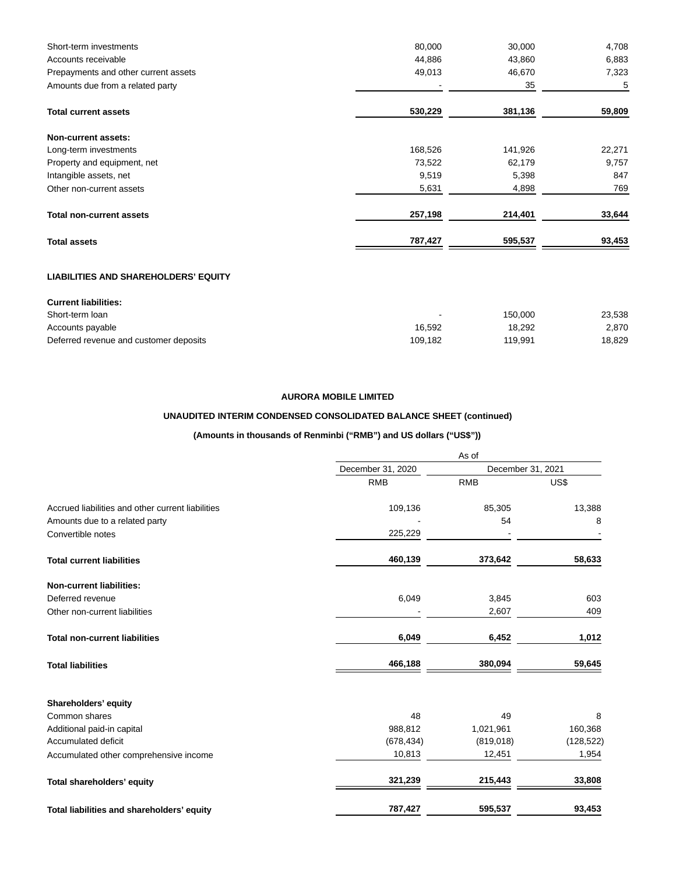| Short-term investments               | 80,000  | 30,000  | 4,708  |
|--------------------------------------|---------|---------|--------|
| Accounts receivable                  | 44,886  | 43,860  | 6,883  |
| Prepayments and other current assets | 49,013  | 46,670  | 7,323  |
| Amounts due from a related party     | ۰       | 35      | 5      |
| <b>Total current assets</b>          | 530,229 | 381,136 | 59,809 |
| Non-current assets:                  |         |         |        |
| Long-term investments                | 168,526 | 141,926 | 22,271 |
| Property and equipment, net          | 73,522  | 62,179  | 9,757  |
| Intangible assets, net               | 9,519   | 5,398   | 847    |
| Other non-current assets             | 5,631   | 4,898   | 769    |
| <b>Total non-current assets</b>      | 257,198 | 214,401 | 33,644 |
| Total assets                         | 787,427 | 595,537 | 93,453 |

# **LIABILITIES AND SHAREHOLDERS' EQUITY**

| <b>Current liabilities:</b>            |                |         |        |
|----------------------------------------|----------------|---------|--------|
| Short-term loan                        | $\blacksquare$ | 150,000 | 23,538 |
| Accounts payable                       | 16.592         | 18.292  | 2.870  |
| Deferred revenue and customer deposits | 109.182        | 119.991 | 18,829 |

## **AURORA MOBILE LIMITED**

# **UNAUDITED INTERIM CONDENSED CONSOLIDATED BALANCE SHEET (continued)**

|                                                   |                   | As of             |            |
|---------------------------------------------------|-------------------|-------------------|------------|
|                                                   | December 31, 2020 | December 31, 2021 |            |
|                                                   | <b>RMB</b>        | <b>RMB</b>        | US\$       |
| Accrued liabilities and other current liabilities | 109,136           | 85,305            | 13,388     |
| Amounts due to a related party                    |                   | 54                | 8          |
| Convertible notes                                 | 225,229           |                   |            |
| <b>Total current liabilities</b>                  | 460,139           | 373,642           | 58,633     |
| <b>Non-current liabilities:</b>                   |                   |                   |            |
| Deferred revenue                                  | 6,049             | 3,845             | 603        |
| Other non-current liabilities                     |                   | 2,607             | 409        |
| <b>Total non-current liabilities</b>              | 6,049             | 6,452             | 1,012      |
| <b>Total liabilities</b>                          | 466,188           | 380,094           | 59,645     |
| Shareholders' equity                              |                   |                   |            |
| Common shares                                     | 48                | 49                | 8          |
| Additional paid-in capital                        | 988,812           | 1,021,961         | 160,368    |
| <b>Accumulated deficit</b>                        | (678, 434)        | (819, 018)        | (128, 522) |
| Accumulated other comprehensive income            | 10,813            | 12,451            | 1,954      |
| Total shareholders' equity                        | 321,239           | 215,443           | 33,808     |
| Total liabilities and shareholders' equity        | 787,427           | 595,537           | 93,453     |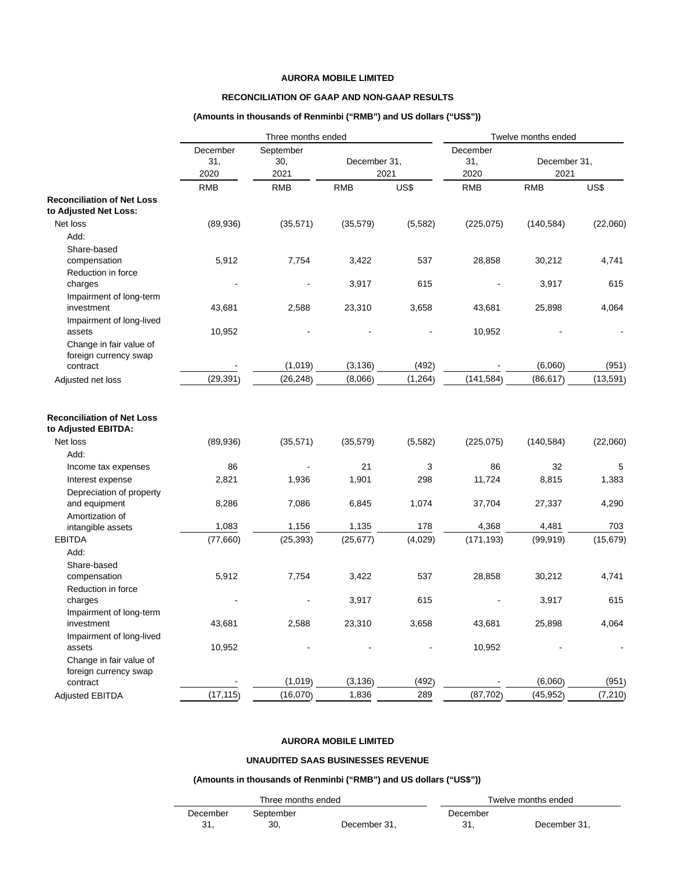## **AURORA MOBILE LIMITED**

# **RECONCILIATION OF GAAP AND NON-GAAP RESULTS**

# **(Amounts in thousands of Renminbi ("RMB") and US dollars ("US\$"))**

|                                                          |            | Three months ended |              |          | Twelve months ended |              |           |
|----------------------------------------------------------|------------|--------------------|--------------|----------|---------------------|--------------|-----------|
|                                                          | December   | September          |              |          | December            |              |           |
|                                                          | 31,        | 30,                | December 31, |          | 31,                 | December 31, |           |
|                                                          | 2020       | 2021               |              | 2021     | 2020                | 2021         |           |
|                                                          | <b>RMB</b> | <b>RMB</b>         | <b>RMB</b>   | US\$     | <b>RMB</b>          | <b>RMB</b>   | US\$      |
| <b>Reconciliation of Net Loss</b>                        |            |                    |              |          |                     |              |           |
| to Adjusted Net Loss:                                    |            |                    |              |          |                     |              |           |
| Net loss                                                 | (89,936)   | (35, 571)          | (35, 579)    | (5,582)  | (225,075)           | (140, 584)   | (22,060)  |
| Add:                                                     |            |                    |              |          |                     |              |           |
| Share-based                                              |            |                    |              |          |                     |              |           |
| compensation                                             | 5,912      | 7,754              | 3,422        | 537      | 28,858              | 30,212       | 4,741     |
| Reduction in force                                       |            |                    |              |          |                     |              |           |
| charges                                                  |            |                    | 3,917        | 615      |                     | 3,917        | 615       |
| Impairment of long-term                                  |            |                    |              |          |                     |              |           |
| investment                                               | 43,681     | 2,588              | 23,310       | 3,658    | 43,681              | 25,898       | 4,064     |
| Impairment of long-lived                                 |            |                    |              |          |                     |              |           |
| assets                                                   | 10,952     |                    |              |          | 10,952              |              |           |
| Change in fair value of                                  |            |                    |              |          |                     |              |           |
| foreign currency swap                                    |            |                    |              |          |                     |              |           |
| contract                                                 |            | (1,019)            | (3, 136)     | (492)    |                     | (6,060)      | (951)     |
| Adjusted net loss                                        | (29, 391)  | (26, 248)          | (8,066)      | (1, 264) | (141, 584)          | (86, 617)    | (13, 591) |
| <b>Reconciliation of Net Loss</b><br>to Adjusted EBITDA: |            |                    |              |          |                     |              |           |
| Net loss                                                 |            |                    |              | (5,582)  |                     |              | (22,060)  |
| Add:                                                     | (89,936)   | (35, 571)          | (35, 579)    |          | (225,075)           | (140, 584)   |           |
|                                                          |            |                    |              |          |                     |              |           |
| Income tax expenses                                      | 86         |                    | 21           | 3        | 86                  | 32           | 5         |
| Interest expense                                         | 2,821      | 1,936              | 1,901        | 298      | 11,724              | 8,815        | 1,383     |
| Depreciation of property                                 |            |                    |              |          |                     |              |           |
| and equipment                                            | 8,286      | 7,086              | 6,845        | 1,074    | 37,704              | 27,337       | 4,290     |
| Amortization of<br>intangible assets                     | 1,083      | 1,156              | 1,135        | 178      | 4,368               | 4,481        | 703       |
| <b>EBITDA</b>                                            | (77,660)   | (25, 393)          | (25, 677)    | (4,029)  | (171, 193)          | (99, 919)    | (15, 679) |
| Add:                                                     |            |                    |              |          |                     |              |           |
| Share-based                                              |            |                    |              |          |                     |              |           |
| compensation                                             | 5,912      | 7,754              | 3,422        | 537      | 28,858              | 30,212       | 4,741     |
| Reduction in force                                       |            |                    |              |          |                     |              |           |
| charges                                                  |            |                    | 3,917        | 615      |                     | 3,917        | 615       |
| Impairment of long-term                                  |            |                    |              |          |                     |              |           |
| investment                                               | 43,681     | 2,588              | 23,310       | 3,658    | 43,681              | 25,898       | 4,064     |
| Impairment of long-lived                                 |            |                    |              |          |                     |              |           |
| assets                                                   | 10,952     |                    |              |          | 10,952              |              |           |
| Change in fair value of                                  |            |                    |              |          |                     |              |           |
| foreign currency swap                                    |            |                    |              |          |                     |              |           |
| contract                                                 |            | (1,019)            | (3, 136)     | (492)    |                     | (6,060)      | (951)     |
| <b>Adjusted EBITDA</b>                                   | (17, 115)  | (16,070)           | 1,836        | 289      | (87, 702)           | (45, 952)    | (7, 210)  |

## **AURORA MOBILE LIMITED**

# **UNAUDITED SAAS BUSINESSES REVENUE**

| Twelve months ended |  |  |
|---------------------|--|--|
| December 31.        |  |  |
|                     |  |  |